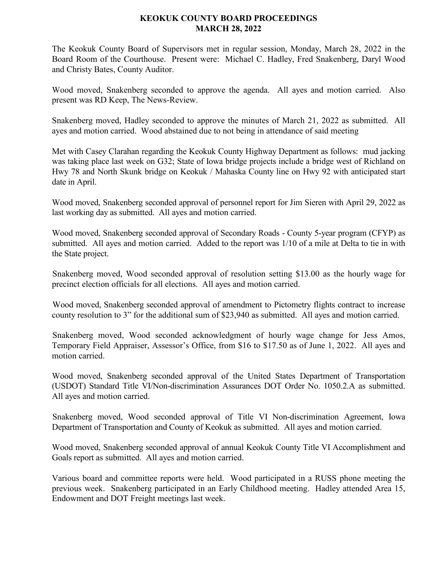## **KEOKUK COUNTY BOARD PROCEEDINGS MARCH 28, 2022**

The Keokuk County Board of Supervisors met in regular session, Monday, March 28, 2022 in the Board Room of the Courthouse. Present were: Michael C. Hadley, Fred Snakenberg, Daryl Wood and Christy Bates, County Auditor.

Wood moved, Snakenberg seconded to approve the agenda. All ayes and motion carried. Also present was RD Keep, The News-Review.

Snakenberg moved, Hadley seconded to approve the minutes of March 21, 2022 as submitted. All ayes and motion carried. Wood abstained due to not being in attendance of said meeting

Met with Casey Clarahan regarding the Keokuk County Highway Department as follows: mud jacking was taking place last week on G32; State of Iowa bridge projects include a bridge west of Richland on Hwy 78 and North Skunk bridge on Keokuk / Mahaska County line on Hwy 92 with anticipated start date in April.

Wood moved, Snakenberg seconded approval of personnel report for Jim Sieren with April 29, 2022 as last working day as submitted. All ayes and motion carried.

Wood moved, Snakenberg seconded approval of Secondary Roads - County 5-year program (CFYP) as submitted. All ayes and motion carried. Added to the report was 1/10 of a mile at Delta to tie in with the State project.

Snakenberg moved, Wood seconded approval of resolution setting \$13.00 as the hourly wage for precinct election officials for all elections. All ayes and motion carried.

Wood moved, Snakenberg seconded approval of amendment to Pictometry flights contract to increase county resolution to 3" for the additional sum of \$23,940 as submitted. All ayes and motion carried.

Snakenberg moved, Wood seconded acknowledgment of hourly wage change for Jess Amos, Temporary Field Appraiser, Assessor's Office, from \$16 to \$17.50 as of June 1, 2022. All ayes and motion carried.

Wood moved, Snakenberg seconded approval of the United States Department of Transportation (USDOT) Standard Title VI/Non-discrimination Assurances DOT Order No. 1050.2.A as submitted. All ayes and motion carried.

Snakenberg moved, Wood seconded approval of Title VI Non-discrimination Agreement, Iowa Department of Transportation and County of Keokuk as submitted. All ayes and motion carried.

Wood moved, Snakenberg seconded approval of annual Keokuk County Title VI Accomplishment and Goals report as submitted. All ayes and motion carried.

Various board and committee reports were held. Wood participated in a RUSS phone meeting the previous week. Snakenberg participated in an Early Childhood meeting. Hadley attended Area 15, Endowment and DOT Freight meetings last week.